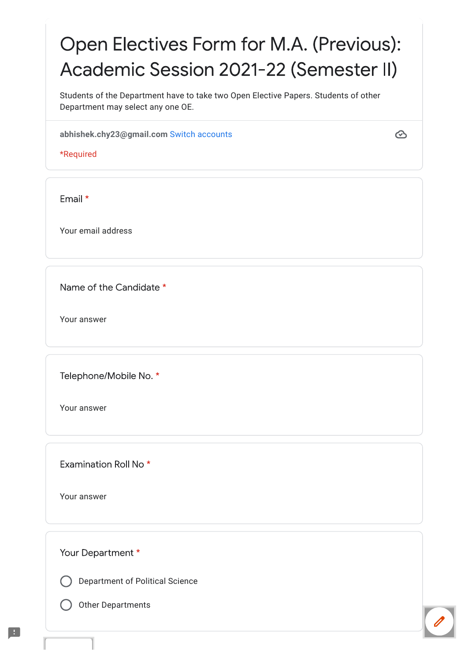# Open Electives Form for M.A. (Previous): Academic Session 2021-22 (Semester II)

Students of the Department have to take two Open Elective Papers. Students of other Department may select any one OE.

abhishek.chy23@gmail.com Switch accounts

\*Required

Email \*

Your email address

Name of the Candidate \*

Your answer

Telephone/Mobile No. \*

Your answer

Examination Roll No<sup>\*</sup>

Your answer

Your Department \*

**Department of Political Science** 

**Other Departments** 

 $\odot$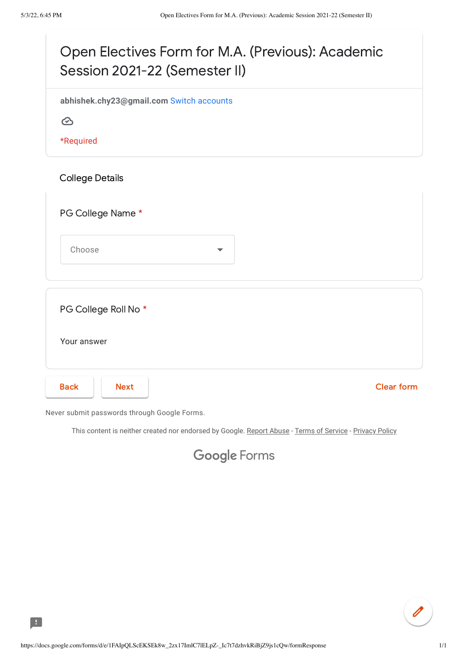

Never submit passwords through Google Forms.

This content is neither created nor endorsed by Google. [Report Abuse](https://docs.google.com/forms/u/0/d/e/1FAIpQLScEKSEk8w_2zx17ImlC7lELpZ-_Ic7t7dzhvkRiBjZ9js1cQw/reportabuse?source=https://docs.google.com/forms/d/e/1FAIpQLScEKSEk8w_2zx17ImlC7lELpZ-_Ic7t7dzhvkRiBjZ9js1cQw/viewform) - [Terms of Service](https://policies.google.com/terms) - [Privacy Policy](https://policies.google.com/privacy)

#### **Google [Forms](https://www.google.com/forms/about/?utm_source=product&utm_medium=forms_logo&utm_campaign=forms)**

B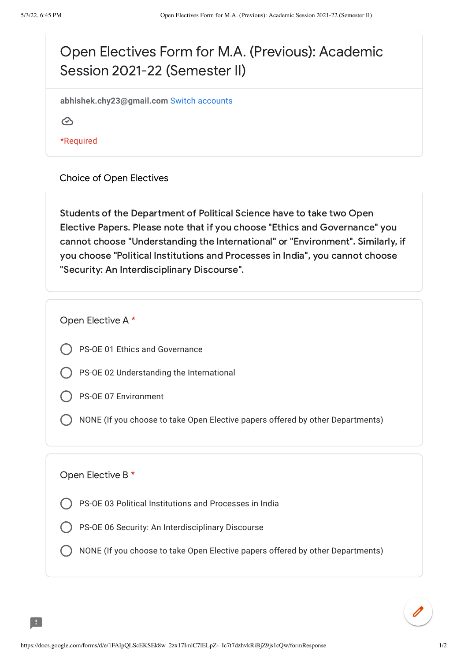## Open Electives Form for M.A. (Previous): Academic Session 2021-22 (Semester II)

**abhishek.chy23@gmail.com** Switch [accounts](https://accounts.google.com/AccountChooser?continue=https://docs.google.com/forms/d/e/1FAIpQLScEKSEk8w_2zx17ImlC7lELpZ-_Ic7t7dzhvkRiBjZ9js1cQw/formResponse&service=wise)

 $\odot$ 

\*Required

Choice of Open Electives

Students of the Department of Political Science have to take two Open Elective Papers. Please note that if you choose "Ethics and Governance" you cannot choose "Understanding the International" or "Environment". Similarly, if you choose "Political Institutions and Processes in India", you cannot choose "Security: An Interdisciplinary Discourse".

Open Elective A \*

- PS-OE 01 Ethics and Governance
- PS-OE 02 Understanding the International
- PS-OE 07 Environment
- NONE (If you choose to take Open Elective papers offered by other Departments)

#### Open Elective B \*

- PS-OE 03 Political Institutions and Processes in India
- PS-OE 06 Security: An Interdisciplinary Discourse
- NONE (If you choose to take Open Elective papers offered by other Departments)